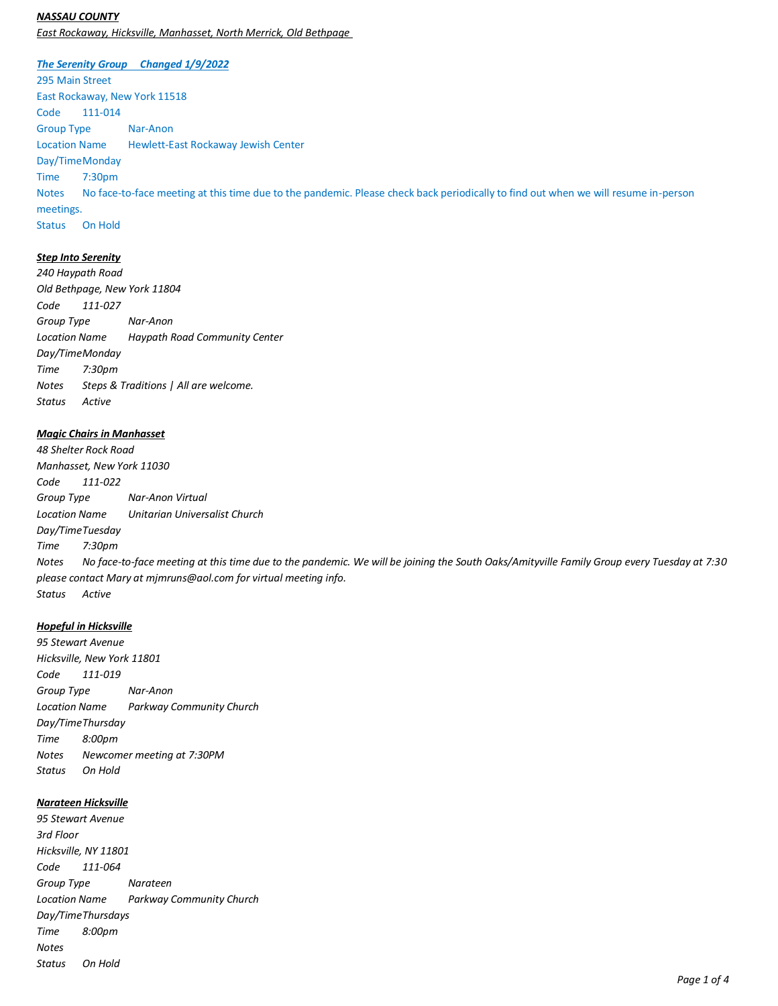### *NASSAU COUNTY*

*East Rockaway, Hicksville, Manhasset, North Merrick, Old Bethpage*

#### *The Serenity Group Changed 1/9/2022*

295 Main Street East Rockaway, New York 11518 Code 111-014 Group Type Nar-Anon Location Name Hewlett-East Rockaway Jewish Center Day/TimeMonday Time 7:30pm Notes No face-to-face meeting at this time due to the pandemic. Please check back periodically to find out when we will resume in-person meetings. Status On Hold

## *Step Into Serenity*

*240 Haypath Road Old Bethpage, New York 11804 Code 111-027 Group Type Nar-Anon Location Name Haypath Road Community Center Day/TimeMonday Time 7:30pm Notes Steps & Traditions | All are welcome. Status Active*

# *Magic Chairs in Manhasset*

*48 Shelter Rock Road Manhasset, New York 11030 Code 111-022 Group Type Nar-Anon Virtual Location Name Unitarian Universalist Church Day/TimeTuesday Time 7:30pm Notes No face-to-face meeting at this time due to the pandemic. We will be joining the South Oaks/Amityville Family Group every Tuesday at 7:30 please contact Mary at mjmruns@aol.com for virtual meeting info. Status Active*

#### *Hopeful in Hicksville*

*95 Stewart Avenue Hicksville, New York 11801 Code 111-019 Group Type Nar-Anon Location Name Parkway Community Church Day/TimeThursday Time 8:00pm Notes Newcomer meeting at 7:30PM Status On Hold*

### *Narateen Hicksville*

*95 Stewart Avenue 3rd Floor Hicksville, NY 11801 Code 111-064 Group Type Narateen Location Name Parkway Community Church Day/TimeThursdays Time 8:00pm Notes Status On Hold*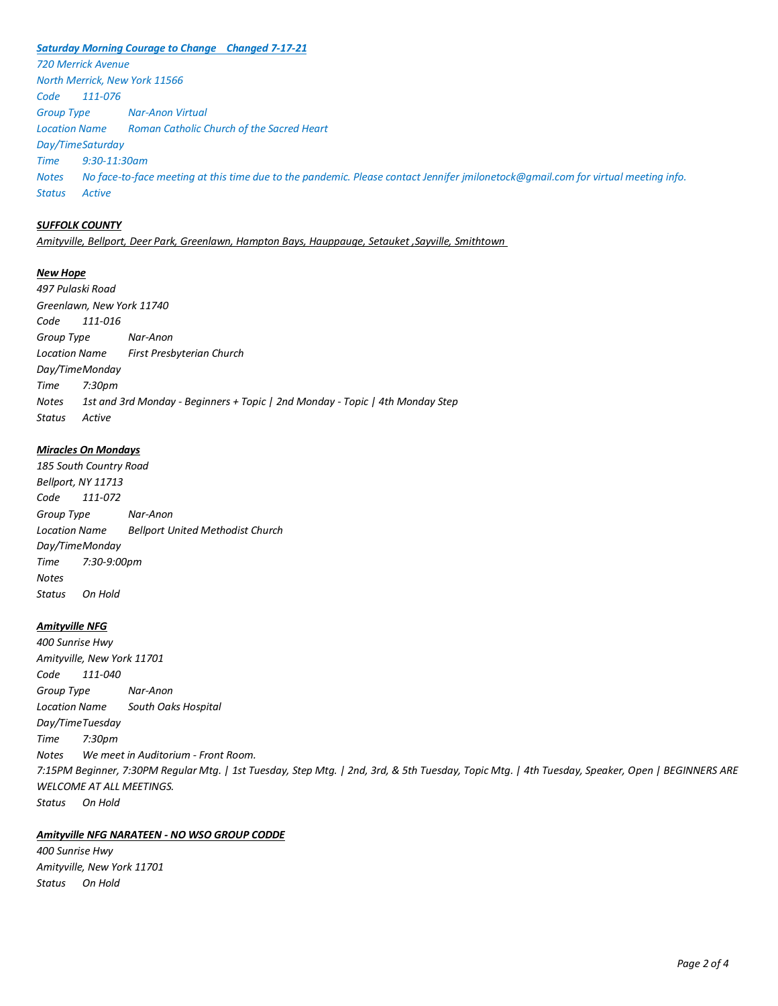#### *Saturday Morning Courage to Change Changed 7-17-21*

*720 Merrick Avenue North Merrick, New York 11566 Code 111-076 Group Type Nar-Anon Virtual Location Name Roman Catholic Church of the Sacred Heart Day/TimeSaturday Time 9:30-11:30am Notes No face-to-face meeting at this time due to the pandemic. Please contact Jennifer jmilonetock@gmail.com for virtual meeting info. Status Active*

# *SUFFOLK COUNTY*

*Amityville, Bellport, Deer Park, Greenlawn, Hampton Bays, Hauppauge, Setauket ,Sayville, Smithtown*

#### *New Hope*

*497 Pulaski Road Greenlawn, New York 11740 Code 111-016 Group Type Nar-Anon Location Name First Presbyterian Church Day/TimeMonday Time 7:30pm Notes 1st and 3rd Monday - Beginners + Topic | 2nd Monday - Topic | 4th Monday Step Status Active*

### *Miracles On Mondays*

*185 South Country Road Bellport, NY 11713 Code 111-072 Group Type Nar-Anon Location Name Bellport United Methodist Church Day/TimeMonday Time 7:30-9:00pm Notes Status On Hold*

#### *Amityville NFG*

*400 Sunrise Hwy Amityville, New York 11701 Code 111-040 Group Type Nar-Anon Location Name South Oaks Hospital Day/TimeTuesday Time 7:30pm Notes We meet in Auditorium - Front Room. 7:15PM Beginner, 7:30PM Regular Mtg. | 1st Tuesday, Step Mtg. | 2nd, 3rd, & 5th Tuesday, Topic Mtg. | 4th Tuesday, Speaker, Open | BEGINNERS ARE WELCOME AT ALL MEETINGS. Status On Hold*

## *Amityville NFG NARATEEN - NO WSO GROUP CODDE*

*400 Sunrise Hwy Amityville, New York 11701 Status On Hold*